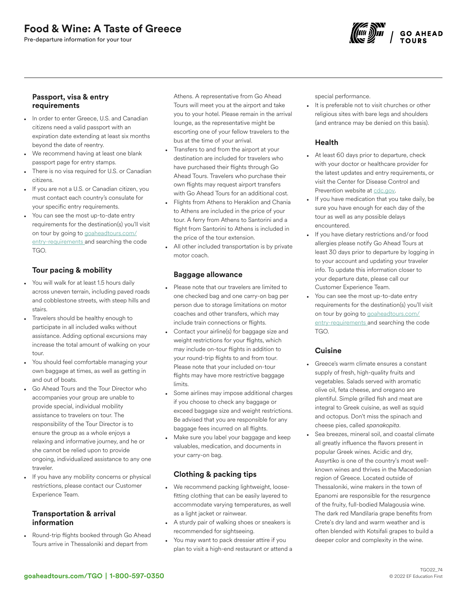Pre-departure information for your tour



### Passport, visa & entry requirements

- In order to enter Greece, U.S. and Canadian citizens need a valid passport with an expiration date extending at least six months beyond the date of reentry.
- We recommend having at least one blank passport page for entry stamps.
- There is no visa required for U.S. or Canadian citizens.
- If you are not a U.S. or Canadian citizen, you must contact each country's consulate for your specific entry requirements.
- You can see the most up-to-date entry requirements for the destination(s) you'll visit on tour by going to [goaheadtours.com/](/entry-requirements?tourCode=TGO) [entry-requirements](/entry-requirements?tourCode=TGO) and searching the code TGO.

# Tour pacing & mobility

- You will walk for at least 1.5 hours daily across uneven terrain, including paved roads and cobblestone streets, with steep hills and stairs.
- Travelers should be healthy enough to participate in all included walks without assistance. Adding optional excursions may increase the total amount of walking on your tour.
- You should feel comfortable managing your own baggage at times, as well as getting in and out of boats.
- Go Ahead Tours and the Tour Director who accompanies your group are unable to provide special, individual mobility assistance to travelers on tour. The responsibility of the Tour Director is to ensure the group as a whole enjoys a relaxing and informative journey, and he or she cannot be relied upon to provide ongoing, individualized assistance to any one traveler.
- If you have any mobility concerns or physical restrictions, please contact our Customer Experience Team.

### Transportation & arrival information

• Round-trip flights booked through Go Ahead Tours arrive in Thessaloniki and depart from

Athens. A representative from Go Ahead Tours will meet you at the airport and take you to your hotel. Please remain in the arrival lounge, as the representative might be escorting one of your fellow travelers to the bus at the time of your arrival.

- Transfers to and from the airport at your destination are included for travelers who have purchased their flights through Go Ahead Tours. Travelers who purchase their own flights may request airport transfers with Go Ahead Tours for an additional cost.
- Flights from Athens to Heraklion and Chania to Athens are included in the price of your tour. A ferry from Athens to Santorini and a flight from Santorini to Athens is included in the price of the tour extension.
- All other included transportation is by private motor coach.

# Baggage allowance

- Please note that our travelers are limited to one checked bag and one carry-on bag per person due to storage limitations on motor coaches and other transfers, which may include train connections or flights.
- Contact your airline(s) for baggage size and weight restrictions for your flights, which may include on-tour flights in addition to your round-trip flights to and from tour. Please note that your included on-tour flights may have more restrictive baggage limits.
- Some airlines may impose additional charges if you choose to check any baggage or exceed baggage size and weight restrictions. Be advised that you are responsible for any baggage fees incurred on all flights.
- Make sure you label your baggage and keep valuables, medication, and documents in your carry-on bag.

# Clothing & packing tips

- We recommend packing lightweight, loosefitting clothing that can be easily layered to accommodate varying temperatures, as well as a light jacket or rainwear.
- A sturdy pair of walking shoes or sneakers is recommended for sightseeing.
- You may want to pack dressier attire if you plan to visit a high-end restaurant or attend a

special performance.

It is preferable not to visit churches or other religious sites with bare legs and shoulders (and entrance may be denied on this basis).

# Health

- At least 60 days prior to departure, check with your doctor or healthcare provider for the latest updates and entry requirements, or visit the Center for Disease Control and Prevention website at [cdc.gov.](https://www.cdc.gov/)
- If you have medication that you take daily, be sure you have enough for each day of the tour as well as any possible delays encountered.
- If you have dietary restrictions and/or food allergies please notify Go Ahead Tours at least 30 days prior to departure by logging in to your account and updating your traveler info. To update this information closer to your departure date, please call our Customer Experience Team.
- You can see the most up-to-date entry requirements for the destination(s) you'll visit on tour by going to [goaheadtours.com/](/entry-requirements?tourCode=TGO) [entry-requirements](/entry-requirements?tourCode=TGO) and searching the code TGO.

# **Cuisine**

- Greece's warm climate ensures a constant supply of fresh, high-quality fruits and vegetables. Salads served with aromatic olive oil, feta cheese, and oregano are plentiful. Simple grilled fish and meat are integral to Greek cuisine, as well as squid and octopus. Don't miss the spinach and cheese pies, called *spanakopita*.
- Sea breezes, mineral soil, and coastal climate all greatly influence the flavors present in popular Greek wines. Acidic and dry, Assyrtiko is one of the country's most wellknown wines and thrives in the Macedonian region of Greece. Located outside of Thessaloniki, wine makers in the town of Epanomi are responsible for the resurgence of the fruity, full-bodied Malagousia wine. The dark red Mandilaria grape benefits from Crete's dry land and warm weather and is often blended with Kotsifali grapes to build a deeper color and complexity in the wine.